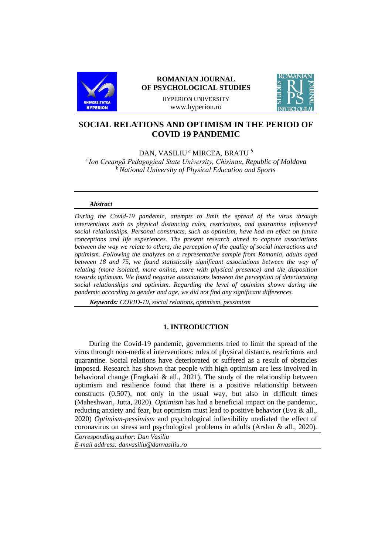

# **ROMANIAN JOURNAL OF PSYCHOLOGICAL STUDIES**



# HYPERION UNIVERSITY www.hyperion.ro

# **SOCIAL RELATIONS AND OPTIMISM IN THE PERIOD OF COVID 19 PANDEMIC**

DAN, VASILIU *<sup>a</sup>* MIRCEA, BRATU *<sup>b</sup>* a *Ion Creangă Pedagogical State University, Chisinau, Republic of Moldova* <sup>b</sup>*National University of Physical Education and Sports*

# *Abstract*

*During the Covid-19 pandemic, attempts to limit the spread of the virus through interventions such as physical distancing rules, restrictions, and quarantine influenced social relationships. Personal constructs, such as optimism, have had an effect on future conceptions and life experiences. The present research aimed to capture associations between the way we relate to others, the perception of the quality of social interactions and optimism. Following the analyzes on a representative sample from Romania, adults aged*  between 18 and 75, we found statistically significant associations between the way of *relating (more isolated, more online, more with physical presence) and the disposition towards optimism. We found negative associations between the perception of deteriorating social relationships and optimism. Regarding the level of optimism shown during the pandemic according to gender and age, we did not find any significant differences.*

*Keywords: COVID-19, social relations, optimism, pessimism*

# **1. INTRODUCTION**

During the Covid-19 pandemic, governments tried to limit the spread of the virus through non-medical interventions: rules of physical distance, restrictions and quarantine. Social relations have deteriorated or suffered as a result of obstacles imposed. Research has shown that people with high optimism are less involved in behavioral change (Fragkaki & all., 2021). The study of the relationship between optimism and resilience found that there is a positive relationship between constructs (0.507), not only in the usual way, but also in difficult times (Maheshwari, Jutta, 2020). *Optimism* has had a beneficial impact on the pandemic, reducing anxiety and fear, but optimism must lead to positive behavior (Eva & all., 2020) *Optimism-pessimism* and psychological inflexibility mediated the effect of coronavirus on stress and psychological problems in adults (Arslan & all., 2020).

*Corresponding author: Dan Vasiliu E-mail address: danvasiliu@danvasiliu.ro*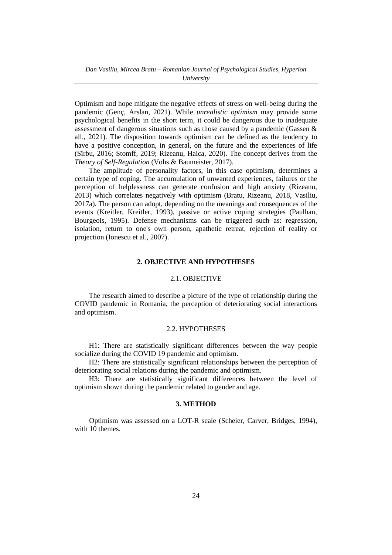Optimism and hope mitigate the negative effects of stress on well-being during the pandemic (Genç, Arslan, 2021). While *unrealistic optimism* may provide some psychological benefits in the short term, it could be dangerous due to inadequate assessment of dangerous situations such as those caused by a pandemic (Gassen & all., 2021). The disposition towards optimism can be defined as the tendency to have a positive conception, in general, on the future and the experiences of life (Sîrbu, 2016; Stomff, 2019; Rizeanu, Haica, 2020). The concept derives from the *Theory of Self-Regulation* (Vohs & Baumeister, 2017).

The amplitude of personality factors, in this case optimism, determines a certain type of coping. The accumulation of unwanted experiences, failures or the perception of helplessness can generate confusion and high anxiety (Rizeanu, 2013) which correlates negatively with optimism (Bratu, Rizeanu, 2018, Vasiliu, 2017a). The person can adopt, depending on the meanings and consequences of the events (Kreitler, Kreitler, 1993), passive or active coping strategies (Paulhan, Bourgeois, 1995). Defense mechanisms can be triggered such as: regression, isolation, return to one's own person, apathetic retreat, rejection of reality or projection (Ionescu et al., 2007).

# **2. OBJECTIVE AND HYPOTHESES**

#### 2.1. OBJECTIVE

The research aimed to describe a picture of the type of relationship during the COVID pandemic in Romania, the perception of deteriorating social interactions and optimism.

# 2.2. HYPOTHESES

H1: There are statistically significant differences between the way people socialize during the COVID 19 pandemic and optimism.

H2: There are statistically significant relationships between the perception of deteriorating social relations during the pandemic and optimism.

H3: There are statistically significant differences between the level of optimism shown during the pandemic related to gender and age.

### **3. METHOD**

 Optimism was assessed on a LOT-R scale (Scheier, Carver, Bridges, 1994), with 10 themes.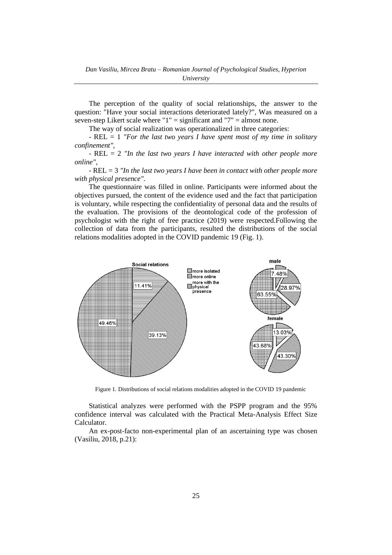The perception of the quality of social relationships, the answer to the question: "Have your social interactions deteriorated lately?", Was measured on a seven-step Likert scale where " $1$ " = significant and " $7$ " = almost none.

The way of social realization was operationalized in three categories:

- REL = 1 *"For the last two years I have spent most of my time in solitary confinement",*

- REL = 2 *"In the last two years I have interacted with other people more online",*

- REL = 3 *"In the last two years I have been in contact with other people more with physical presence".*

The questionnaire was filled in online. Participants were informed about the objectives pursued, the content of the evidence used and the fact that participation is voluntary, while respecting the confidentiality of personal data and the results of the evaluation. The provisions of the deontological code of the profession of psychologist with the right of free practice (2019) were respected.Following the collection of data from the participants, resulted the distributions of the social relations modalities adopted in the COVID pandemic 19 (Fig. 1).



Figure 1. Distributions of social relations modalities adopted in the COVID 19 pandemic

Statistical analyzes were performed with the PSPP program and the 95% confidence interval was calculated with the Practical Meta-Analysis Effect Size Calculator.

An ex-post-facto non-experimental plan of an ascertaining type was chosen (Vasiliu, 2018, p.21):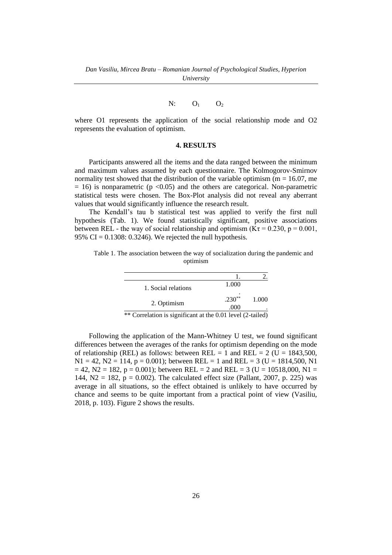# $N: O_1$   $O_2$

where O1 represents the application of the social relationship mode and O2 represents the evaluation of optimism.

# **4. RESULTS**

Participants answered all the items and the data ranged between the minimum and maximum values assumed by each questionnaire. The Kolmogorov-Smirnov normality test showed that the distribution of the variable optimism ( $m = 16.07$ , me  $= 16$ ) is nonparametric (p <0.05) and the others are categorical. Non-parametric statistical tests were chosen. The Box-Plot analysis did not reveal any aberrant values that would significantly influence the research result.

The Kendall's tau b statistical test was applied to verify the first null hypothesis (Tab. 1). We found statistically significant, positive associations between REL - the way of social relationship and optimism ( $K\tau = 0.230$ , p = 0.001, 95% CI =  $0.1308$ : 0.3246). We rejected the null hypothesis.

Table 1. The association between the way of socialization during the pandemic and optimism

| 1.000    |                                                            |
|----------|------------------------------------------------------------|
| $.230**$ | 1.000                                                      |
| .000     |                                                            |
|          | ** Correlation is significant at the 0.01 level (2-tailed) |

Following the application of the Mann-Whitney U test, we found significant differences between the averages of the ranks for optimism depending on the mode of relationship (REL) as follows: between REL = 1 and REL = 2 (U = 1843,500,  $N1 = 42$ ,  $N2 = 114$ ,  $p = 0.001$ ; between REL = 1 and REL = 3 (U = 1814,500, N1)  $= 42$ , N2 = 182, p = 0.001); between REL = 2 and REL = 3 (U = 10518,000, N1 = 144,  $N2 = 182$ ,  $p = 0.002$ ). The calculated effect size (Pallant, 2007, p. 225) was average in all situations, so the effect obtained is unlikely to have occurred by chance and seems to be quite important from a practical point of view (Vasiliu, 2018, p. 103). Figure 2 shows the results.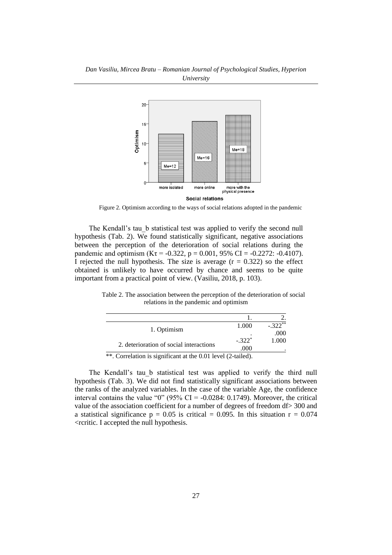

Figure 2. Optimism according to the ways of social relations adopted in the pandemic

The Kendall's tau\_b statistical test was applied to verify the second null hypothesis (Tab. 2). We found statistically significant, negative associations between the perception of the deterioration of social relations during the pandemic and optimism (K $\tau$  = -0.322, p = 0.001, 95% CI = -0.2272: -0.4107). I rejected the null hypothesis. The size is average  $(r = 0.322)$  so the effect obtained is unlikely to have occurred by chance and seems to be quite important from a practical point of view. (Vasiliu, 2018, p. 103).

Table 2. The association between the perception of the deterioration of social relations in the pandemic and optimism

| 1. Optimism                                                          | 1.000    | $-.322**$ |
|----------------------------------------------------------------------|----------|-----------|
|                                                                      |          | .000      |
| 2. deterioration of social interactions                              | $-.322*$ | 1.000     |
|                                                                      | .000     |           |
| $**$ Completion is significant at the 0.01 layel $(2 \text{ total})$ |          |           |

 $\cdot$ . Correlation is significant at the 0.01 level (2-tailed).

The Kendall's tau b statistical test was applied to verify the third null hypothesis (Tab. 3). We did not find statistically significant associations between the ranks of the analyzed variables. In the case of the variable Age, the confidence interval contains the value "0" (95% CI =  $-0.0284$ : 0.1749). Moreover, the critical value of the association coefficient for a number of degrees of freedom df> 300 and a statistical significance  $p = 0.05$  is critical = 0.095. In this situation  $r = 0.074$ <rcritic. I accepted the null hypothesis.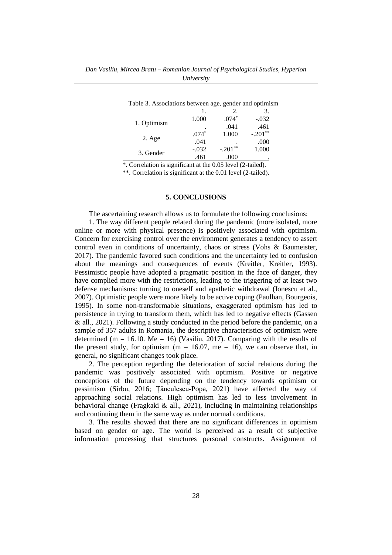| Table 3. Associations between age, gender and optimism |         |           |           |
|--------------------------------------------------------|---------|-----------|-----------|
|                                                        |         | 2.        |           |
| 1. Optimism                                            | 1.000   | $.074*$   | $-.032$   |
|                                                        |         | .041      | .461      |
| $2. \text{Age}$                                        | $.074*$ | 1.000     | $-.201**$ |
|                                                        | .041    |           | .000      |
| 3. Gender                                              | $-.032$ | $-.201**$ | 1.000     |
|                                                        | .461    |           |           |

*Dan Vasiliu, Mircea Bratu – Romanian Journal of Psychological Studies, Hyperion University*

\*. Correlation is significant at the 0.05 level (2-tailed).

\*\*. Correlation is significant at the 0.01 level (2-tailed).

# **5. CONCLUSIONS**

The ascertaining research allows us to formulate the following conclusions:

1. The way different people related during the pandemic (more isolated, more online or more with physical presence) is positively associated with optimism. Concern for exercising control over the environment generates a tendency to assert control even in conditions of uncertainty, chaos or stress (Vohs & Baumeister, 2017). The pandemic favored such conditions and the uncertainty led to confusion about the meanings and consequences of events (Kreitler, Kreitler, 1993). Pessimistic people have adopted a pragmatic position in the face of danger, they have complied more with the restrictions, leading to the triggering of at least two defense mechanisms: turning to oneself and apathetic withdrawal (Ionescu et al., 2007). Optimistic people were more likely to be active coping (Paulhan, Bourgeois, 1995). In some non-transformable situations, exaggerated optimism has led to persistence in trying to transform them, which has led to negative effects (Gassen & all., 2021). Following a study conducted in the period before the pandemic, on a sample of 357 adults in Romania, the descriptive characteristics of optimism were determined (m = 16.10. Me = 16) (Vasiliu, 2017). Comparing with the results of the present study, for optimism ( $m = 16.07$ ,  $me = 16$ ), we can observe that, in general, no significant changes took place.

2. The perception regarding the deterioration of social relations during the pandemic was positively associated with optimism. Positive or negative conceptions of the future depending on the tendency towards optimism or pessimism (Sîrbu, 2016; Țânculescu-Popa, 2021) have affected the way of approaching social relations. High optimism has led to less involvement in behavioral change (Fragkaki & all., 2021), including in maintaining relationships and continuing them in the same way as under normal conditions.

3. The results showed that there are no significant differences in optimism based on gender or age. The world is perceived as a result of subjective information processing that structures personal constructs. Assignment of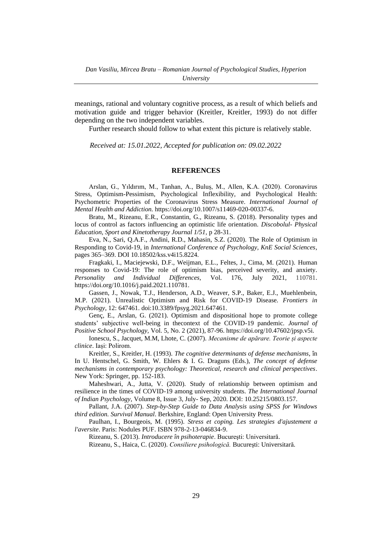meanings, rational and voluntary cognitive process, as a result of which beliefs and motivation guide and trigger behavior (Kreitler, Kreitler, 1993) do not differ depending on the two independent variables.

Further research should follow to what extent this picture is relatively stable.

*Received at: 15.01.2022, Accepted for publication on: 09.02.2022*

## **REFERENCES**

Arslan, G., Yıldırım, M., Tanhan, A., Buluș, M., Allen, K.A. (2020). Coronavirus Stress, Optimism-Pessimism, Psychological Inflexibility, and Psychological Health: Psychometric Properties of the Coronavirus Stress Measure. *International Journal of Mental Health and Addiction.* https://doi.org/10.1007/s11469-020-00337-6.

Bratu, M., Rizeanu, E.R., Constantin, G., Rizeanu, S. (2018). Personality types and locus of control as factors influencing an optimistic life orientation. *Discobolul- Physical Education, Sport and Kinetotherapy Journal 1/51,* p 28-31.

Eva, N., Sari, Q.A.F., Andini, R.D., Mahasin, S.Z. (2020). The Role of Optimism in Responding to Covid-19, in *International Conference of Psychology, KnE Social Sciences*, pages 365–369. DOI 10.18502/kss.v4i15.8224.

Fragkaki, I., Maciejewski, D.F., Weijman, E.L., Feltes, J., Cima, M. (2021). Human responses to Covid-19: The role of optimism bias, perceived severity, and anxiety. *Personality and Individual Differences,* Vol. 176, July 2021, 110781. https://doi.org/10.1016/j.paid.2021.110781.

Gassen, J., Nowak, T.J., Henderson, A.D., Weaver, S.P., Baker, E.J., Muehlenbein, M.P. (2021). Unrealistic Optimism and Risk for COVID-19 Disease. *Frontiers in Psychology,* 12: 647461. doi:10.3389/fpsyg.2021.647461.

Genç, E., Arslan, G. (2021). Optimism and dispositional hope to promote college students' subjective well-being in thecontext of the COVID-19 pandemic*. Journal of Positive School Psychology,* Vol. 5, No. 2 (2021), 87-96. https://doi.org/10.47602/jpsp.v5i.

Ionescu, S., Jacquet, M.M, Lhote, C. (2007). *Mecanisme de apărare. Teorie și aspecte clinice*. Iași: Polirom.

Kreitler, S., Kreitler, H. (1993). *The cognitive determinants of defense mechanisms*, în In U. Hentschel, G. Smith, W. Ehlers & I. G. Draguns (Eds.), *The concept of defense mechanisms in contemporary psychology: Theoretical, research and clinical perspectives*. New York: Springer, pp. 152-183.

Maheshwari, A., Jutta, V. (2020). Study of relationship between optimism and resilience in the times of COVID-19 among university students. *The International Journal of Indian Psychology*, Volume 8, Issue 3, July- Sep, 2020. DOI: 10.25215/0803.157.

Pallant, J.A. (2007). *Step-by-Step Guide to Data Analysis using SPSS for Windows third edition. Survival Manual*. Berkshire, England: Open University Press.

Paulhan, I., Bourgeois, M. (1995). *Stress et coping. Les strategies d'ajustement a l'aversite*. Paris: Nodules PUF. ISBN 978-2-13-046834-9.

Rizeanu, S. (2013). *Introducere în psihoterapie*. Bucureşti: Universitară.

Rizeanu, S., Haica, C. (2020). *Consiliere psihologică.* Bucureşti: Universitară.